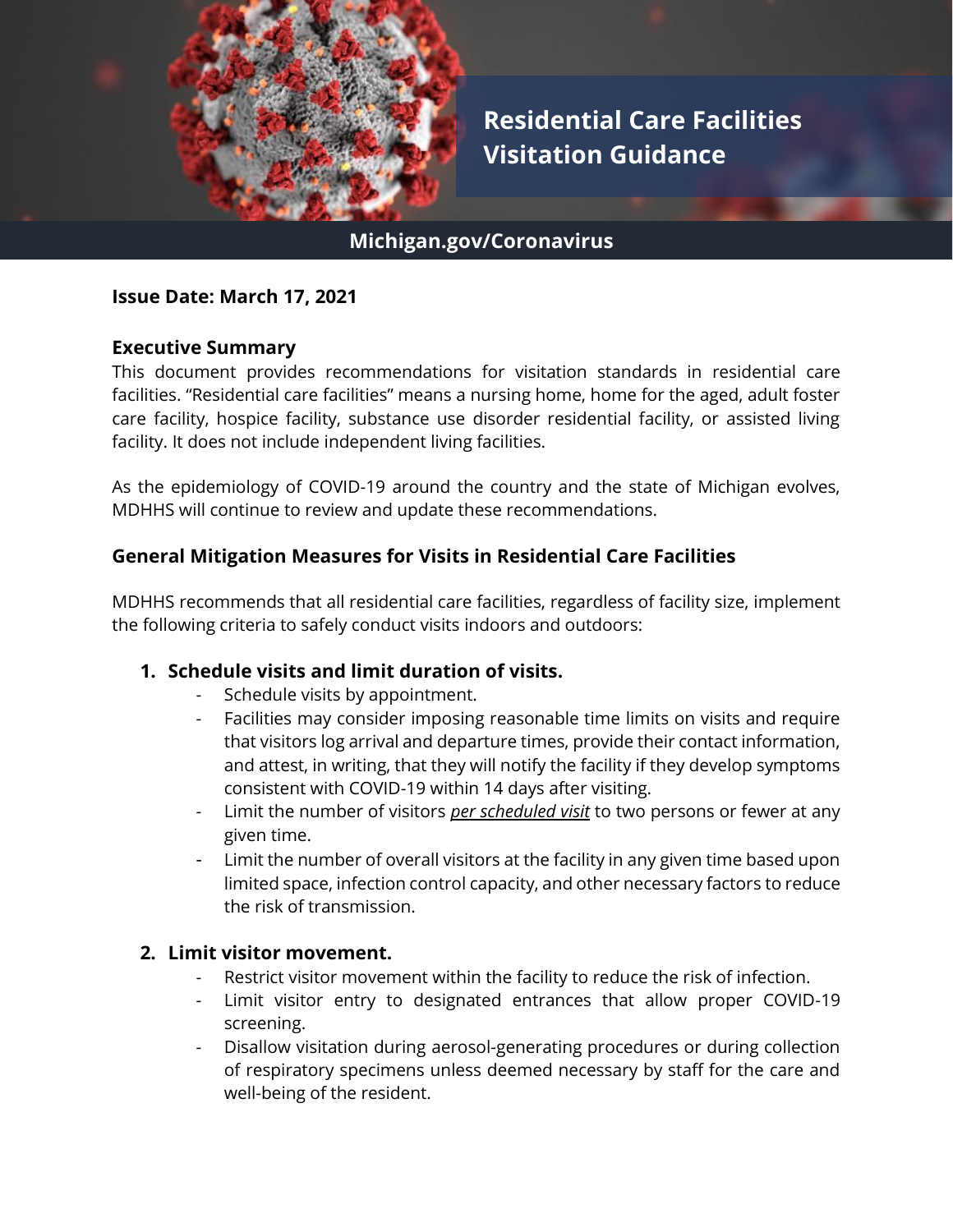

### **Michigan.gov/Coronavirus**

#### **Issue Date: March 17, 2021**

#### **Executive Summary**

This document provides recommendations for visitation standards in residential care facilities. "Residential care facilities" means a nursing home, home for the aged, adult foster care facility, hospice facility, substance use disorder residential facility, or assisted living facility. It does not include independent living facilities.

As the epidemiology of COVID-19 around the country and the state of Michigan evolves, MDHHS will continue to review and update these recommendations.

#### **General Mitigation Measures for Visits in Residential Care Facilities**

MDHHS recommends that all residential care facilities, regardless of facility size, implement the following criteria to safely conduct visits indoors and outdoors:

#### **1. Schedule visits and limit duration of visits.**

- Schedule visits by appointment.
- Facilities may consider imposing reasonable time limits on visits and require that visitors log arrival and departure times, provide their contact information, and attest, in writing, that they will notify the facility if they develop symptoms consistent with COVID-19 within 14 days after visiting.
- Limit the number of visitors *per scheduled visit* to two persons or fewer at any given time.
- Limit the number of overall visitors at the facility in any given time based upon limited space, infection control capacity, and other necessary factors to reduce the risk of transmission.

#### **2. Limit visitor movement.**

- Restrict visitor movement within the facility to reduce the risk of infection.
- Limit visitor entry to designated entrances that allow proper COVID-19 screening.
- Disallow visitation during aerosol-generating procedures or during collection of respiratory specimens unless deemed necessary by staff for the care and well-being of the resident.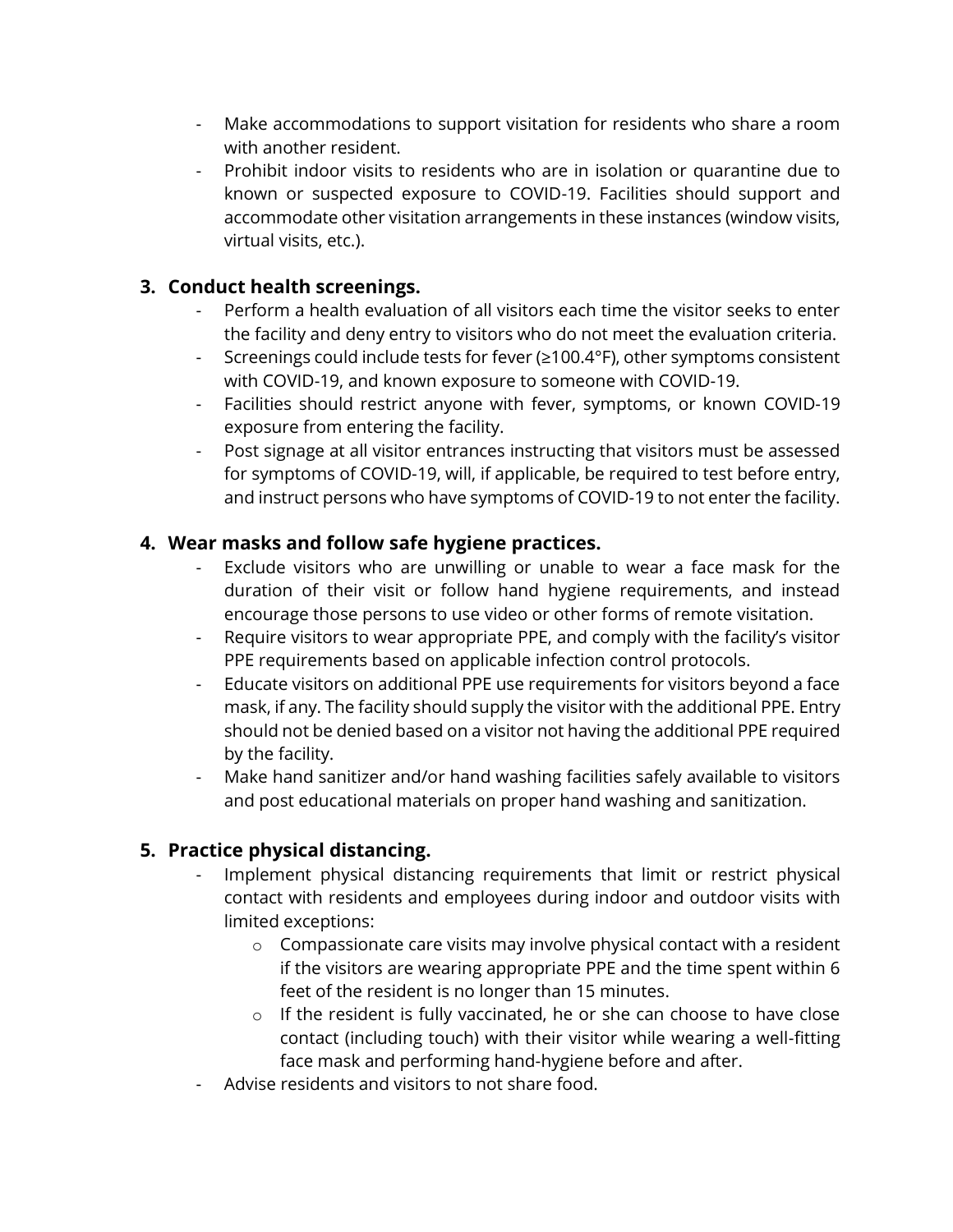- Make accommodations to support visitation for residents who share a room with another resident.
- Prohibit indoor visits to residents who are in isolation or quarantine due to known or suspected exposure to COVID-19. Facilities should support and accommodate other visitation arrangements in these instances (window visits, virtual visits, etc.).

## **3. Conduct health screenings.**

- Perform a health evaluation of all visitors each time the visitor seeks to enter the facility and deny entry to visitors who do not meet the evaluation criteria.
- Screenings could include tests for fever (≥100.4°F), other symptoms consistent with COVID-19, and known exposure to someone with COVID-19.
- Facilities should restrict anyone with fever, symptoms, or known COVID-19 exposure from entering the facility.
- Post signage at all visitor entrances instructing that visitors must be assessed for symptoms of COVID-19, will, if applicable, be required to test before entry, and instruct persons who have symptoms of COVID-19 to not enter the facility.

## **4. Wear masks and follow safe hygiene practices.**

- Exclude visitors who are unwilling or unable to wear a face mask for the duration of their visit or follow hand hygiene requirements, and instead encourage those persons to use video or other forms of remote visitation.
- Require visitors to wear appropriate PPE, and comply with the facility's visitor PPE requirements based on applicable infection control protocols.
- Educate visitors on additional PPE use requirements for visitors beyond a face mask, if any. The facility should supply the visitor with the additional PPE. Entry should not be denied based on a visitor not having the additional PPE required by the facility.
- Make hand sanitizer and/or hand washing facilities safely available to visitors and post educational materials on proper hand washing and sanitization.

# **5. Practice physical distancing.**

- Implement physical distancing requirements that limit or restrict physical contact with residents and employees during indoor and outdoor visits with limited exceptions:
	- o Compassionate care visits may involve physical contact with a resident if the visitors are wearing appropriate PPE and the time spent within 6 feet of the resident is no longer than 15 minutes.
	- o If the resident is fully vaccinated, he or she can choose to have close contact (including touch) with their visitor while wearing a well-fitting face mask and performing hand-hygiene before and after.
- Advise residents and visitors to not share food.